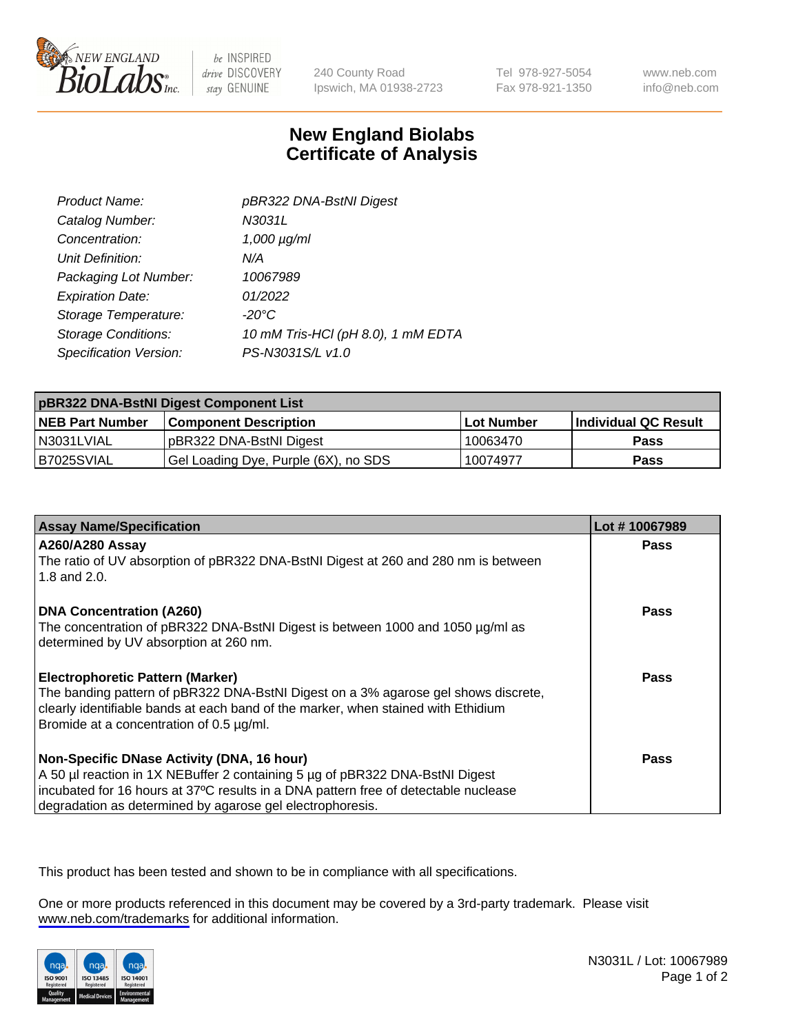

be INSPIRED drive DISCOVERY stay GENUINE

240 County Road Ipswich, MA 01938-2723 Tel 978-927-5054 Fax 978-921-1350

www.neb.com info@neb.com

## **New England Biolabs Certificate of Analysis**

| Product Name:              | pBR322 DNA-BstNI Digest            |
|----------------------------|------------------------------------|
| Catalog Number:            | N3031L                             |
| Concentration:             | $1,000 \mu g/ml$                   |
| Unit Definition:           | N/A                                |
| Packaging Lot Number:      | 10067989                           |
| <b>Expiration Date:</b>    | 01/2022                            |
| Storage Temperature:       | $-20^{\circ}$ C                    |
| <b>Storage Conditions:</b> | 10 mM Tris-HCl (pH 8.0), 1 mM EDTA |
| Specification Version:     | PS-N3031S/L v1.0                   |

| pBR322 DNA-BstNI Digest Component List |                                      |            |                      |  |
|----------------------------------------|--------------------------------------|------------|----------------------|--|
| <b>NEB Part Number</b>                 | <b>Component Description</b>         | Lot Number | Individual QC Result |  |
| N3031LVIAL                             | pBR322 DNA-BstNI Digest              | 10063470   | <b>Pass</b>          |  |
| B7025SVIAL                             | Gel Loading Dye, Purple (6X), no SDS | 10074977   | <b>Pass</b>          |  |

| <b>Assay Name/Specification</b>                                                                              | Lot #10067989 |
|--------------------------------------------------------------------------------------------------------------|---------------|
| <b>A260/A280 Assay</b><br>The ratio of UV absorption of pBR322 DNA-BstNI Digest at 260 and 280 nm is between | <b>Pass</b>   |
| 1.8 and $2.0$ .                                                                                              |               |
| <b>DNA Concentration (A260)</b>                                                                              | Pass          |
| The concentration of pBR322 DNA-BstNI Digest is between 1000 and 1050 µg/ml as                               |               |
| determined by UV absorption at 260 nm.                                                                       |               |
| <b>Electrophoretic Pattern (Marker)</b>                                                                      | Pass          |
| The banding pattern of pBR322 DNA-BstNI Digest on a 3% agarose gel shows discrete,                           |               |
| clearly identifiable bands at each band of the marker, when stained with Ethidium                            |               |
| Bromide at a concentration of 0.5 µg/ml.                                                                     |               |
| Non-Specific DNase Activity (DNA, 16 hour)                                                                   | Pass          |
| A 50 µl reaction in 1X NEBuffer 2 containing 5 µg of pBR322 DNA-BstNI Digest                                 |               |
| incubated for 16 hours at 37°C results in a DNA pattern free of detectable nuclease                          |               |
| degradation as determined by agarose gel electrophoresis.                                                    |               |

This product has been tested and shown to be in compliance with all specifications.

One or more products referenced in this document may be covered by a 3rd-party trademark. Please visit <www.neb.com/trademarks>for additional information.